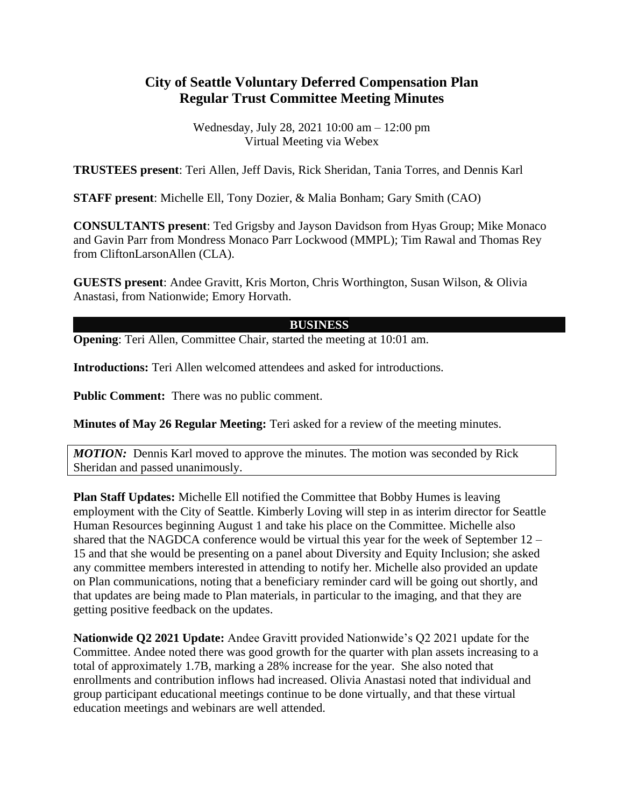## **City of Seattle Voluntary Deferred Compensation Plan Regular Trust Committee Meeting Minutes**

Wednesday, July 28, 2021 10:00 am – 12:00 pm Virtual Meeting via Webex

**TRUSTEES present**: Teri Allen, Jeff Davis, Rick Sheridan, Tania Torres, and Dennis Karl

**STAFF present**: Michelle Ell, Tony Dozier, & Malia Bonham; Gary Smith (CAO)

**CONSULTANTS present**: Ted Grigsby and Jayson Davidson from Hyas Group; Mike Monaco and Gavin Parr from Mondress Monaco Parr Lockwood (MMPL); Tim Rawal and Thomas Rey from CliftonLarsonAllen (CLA).

**GUESTS present**: Andee Gravitt, Kris Morton, Chris Worthington, Susan Wilson, & Olivia Anastasi, from Nationwide; Emory Horvath.

## **BUSINESS**

**Opening**: Teri Allen, Committee Chair, started the meeting at 10:01 am.

**Introductions:** Teri Allen welcomed attendees and asked for introductions.

**Public Comment:** There was no public comment.

**Minutes of May 26 Regular Meeting:** Teri asked for a review of the meeting minutes.

*MOTION:* Dennis Karl moved to approve the minutes. The motion was seconded by Rick Sheridan and passed unanimously.

**Plan Staff Updates:** Michelle Ell notified the Committee that Bobby Humes is leaving employment with the City of Seattle. Kimberly Loving will step in as interim director for Seattle Human Resources beginning August 1 and take his place on the Committee. Michelle also shared that the NAGDCA conference would be virtual this year for the week of September 12 – 15 and that she would be presenting on a panel about Diversity and Equity Inclusion; she asked any committee members interested in attending to notify her. Michelle also provided an update on Plan communications, noting that a beneficiary reminder card will be going out shortly, and that updates are being made to Plan materials, in particular to the imaging, and that they are getting positive feedback on the updates.

**Nationwide Q2 2021 Update:** Andee Gravitt provided Nationwide's Q2 2021 update for the Committee. Andee noted there was good growth for the quarter with plan assets increasing to a total of approximately 1.7B, marking a 28% increase for the year. She also noted that enrollments and contribution inflows had increased. Olivia Anastasi noted that individual and group participant educational meetings continue to be done virtually, and that these virtual education meetings and webinars are well attended.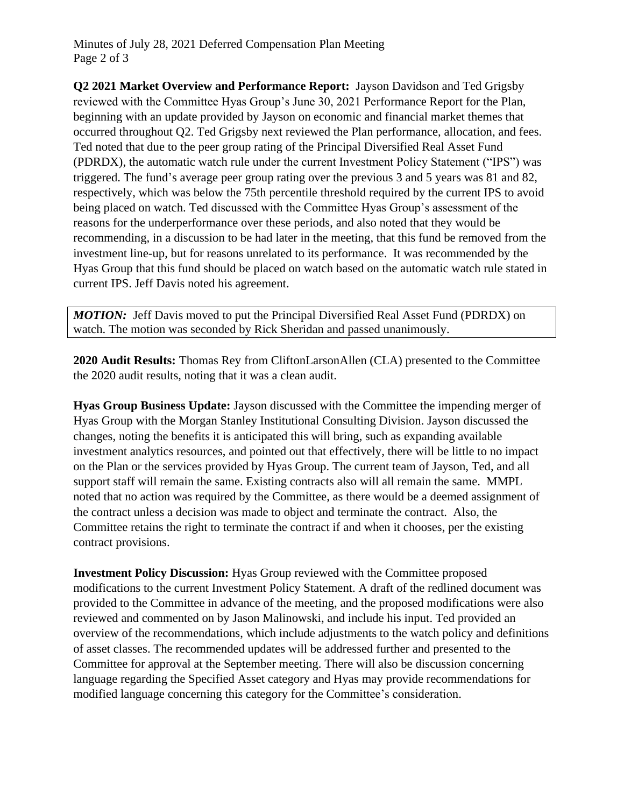**Q2 2021 Market Overview and Performance Report:** Jayson Davidson and Ted Grigsby reviewed with the Committee Hyas Group's June 30, 2021 Performance Report for the Plan, beginning with an update provided by Jayson on economic and financial market themes that occurred throughout Q2. Ted Grigsby next reviewed the Plan performance, allocation, and fees. Ted noted that due to the peer group rating of the Principal Diversified Real Asset Fund (PDRDX), the automatic watch rule under the current Investment Policy Statement ("IPS") was triggered. The fund's average peer group rating over the previous 3 and 5 years was 81 and 82, respectively, which was below the 75th percentile threshold required by the current IPS to avoid being placed on watch. Ted discussed with the Committee Hyas Group's assessment of the reasons for the underperformance over these periods, and also noted that they would be recommending, in a discussion to be had later in the meeting, that this fund be removed from the investment line-up, but for reasons unrelated to its performance. It was recommended by the Hyas Group that this fund should be placed on watch based on the automatic watch rule stated in current IPS. Jeff Davis noted his agreement.

*MOTION:* Jeff Davis moved to put the Principal Diversified Real Asset Fund (PDRDX) on watch. The motion was seconded by Rick Sheridan and passed unanimously.

**2020 Audit Results:** Thomas Rey from CliftonLarsonAllen (CLA) presented to the Committee the 2020 audit results, noting that it was a clean audit.

**Hyas Group Business Update:** Jayson discussed with the Committee the impending merger of Hyas Group with the Morgan Stanley Institutional Consulting Division. Jayson discussed the changes, noting the benefits it is anticipated this will bring, such as expanding available investment analytics resources, and pointed out that effectively, there will be little to no impact on the Plan or the services provided by Hyas Group. The current team of Jayson, Ted, and all support staff will remain the same. Existing contracts also will all remain the same. MMPL noted that no action was required by the Committee, as there would be a deemed assignment of the contract unless a decision was made to object and terminate the contract. Also, the Committee retains the right to terminate the contract if and when it chooses, per the existing contract provisions.

**Investment Policy Discussion:** Hyas Group reviewed with the Committee proposed modifications to the current Investment Policy Statement. A draft of the redlined document was provided to the Committee in advance of the meeting, and the proposed modifications were also reviewed and commented on by Jason Malinowski, and include his input. Ted provided an overview of the recommendations, which include adjustments to the watch policy and definitions of asset classes. The recommended updates will be addressed further and presented to the Committee for approval at the September meeting. There will also be discussion concerning language regarding the Specified Asset category and Hyas may provide recommendations for modified language concerning this category for the Committee's consideration.